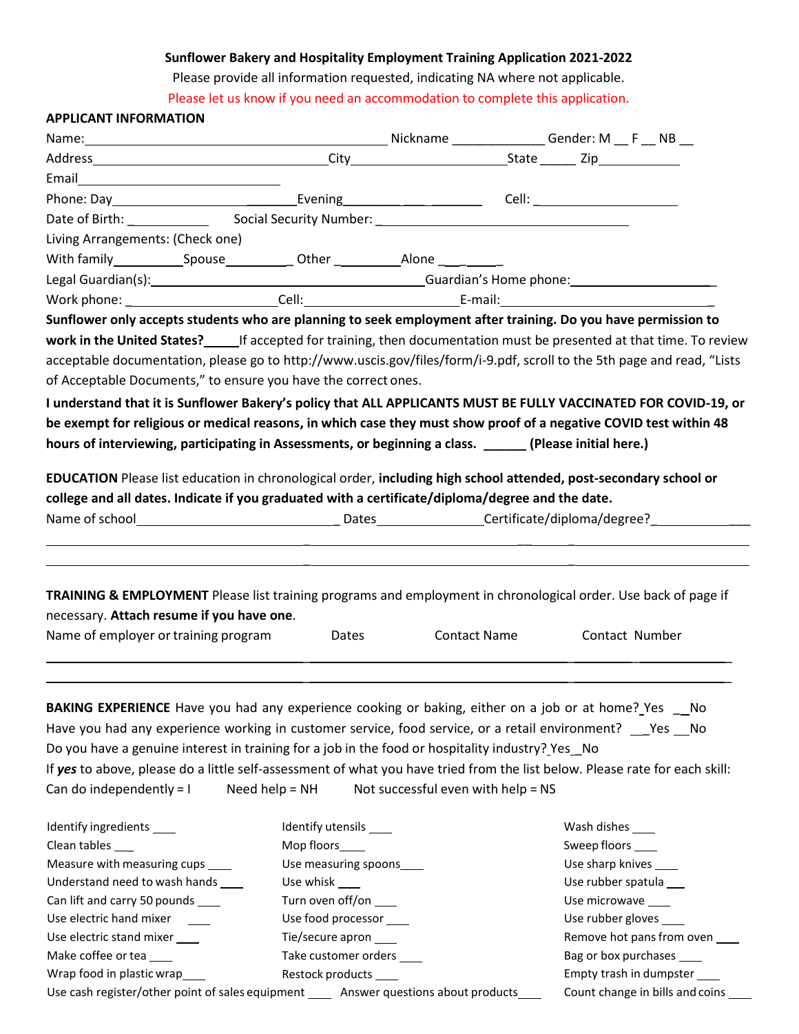## **Sunflower Bakery and Hospitality Employment Training Application 2021-2022**

Please provide all information requested, indicating NA where not applicable.

Please let us know if you need an accommodation to complete this application.

| <b>APPLICANT INFORMATION</b>                                                                                                                                                                                                                                                                                                                                                                                                                                                                                                                                                                                                                                              |                           |                                    |                         |                                   |
|---------------------------------------------------------------------------------------------------------------------------------------------------------------------------------------------------------------------------------------------------------------------------------------------------------------------------------------------------------------------------------------------------------------------------------------------------------------------------------------------------------------------------------------------------------------------------------------------------------------------------------------------------------------------------|---------------------------|------------------------------------|-------------------------|-----------------------------------|
|                                                                                                                                                                                                                                                                                                                                                                                                                                                                                                                                                                                                                                                                           |                           |                                    |                         |                                   |
|                                                                                                                                                                                                                                                                                                                                                                                                                                                                                                                                                                                                                                                                           |                           |                                    |                         |                                   |
|                                                                                                                                                                                                                                                                                                                                                                                                                                                                                                                                                                                                                                                                           |                           |                                    |                         |                                   |
|                                                                                                                                                                                                                                                                                                                                                                                                                                                                                                                                                                                                                                                                           |                           |                                    |                         |                                   |
|                                                                                                                                                                                                                                                                                                                                                                                                                                                                                                                                                                                                                                                                           |                           |                                    |                         |                                   |
| Living Arrangements: (Check one)                                                                                                                                                                                                                                                                                                                                                                                                                                                                                                                                                                                                                                          |                           |                                    |                         |                                   |
|                                                                                                                                                                                                                                                                                                                                                                                                                                                                                                                                                                                                                                                                           |                           |                                    |                         |                                   |
| Legal Guardian(s): example a control of Guardian Countries of Guardian's Home phone:                                                                                                                                                                                                                                                                                                                                                                                                                                                                                                                                                                                      |                           |                                    |                         |                                   |
|                                                                                                                                                                                                                                                                                                                                                                                                                                                                                                                                                                                                                                                                           |                           |                                    |                         |                                   |
| Sunflower only accepts students who are planning to seek employment after training. Do you have permission to                                                                                                                                                                                                                                                                                                                                                                                                                                                                                                                                                             |                           |                                    |                         |                                   |
| work in the United States? ______ If accepted for training, then documentation must be presented at that time. To review<br>acceptable documentation, please go to http://www.uscis.gov/files/form/i-9.pdf, scroll to the 5th page and read, "Lists<br>of Acceptable Documents," to ensure you have the correct ones.<br>I understand that it is Sunflower Bakery's policy that ALL APPLICANTS MUST BE FULLY VACCINATED FOR COVID-19, or<br>be exempt for religious or medical reasons, in which case they must show proof of a negative COVID test within 48<br>hours of interviewing, participating in Assessments, or beginning a class. ______ (Please initial here.) |                           |                                    |                         |                                   |
| EDUCATION Please list education in chronological order, including high school attended, post-secondary school or<br>college and all dates. Indicate if you graduated with a certificate/diploma/degree and the date.                                                                                                                                                                                                                                                                                                                                                                                                                                                      |                           |                                    |                         |                                   |
| TRAINING & EMPLOYMENT Please list training programs and employment in chronological order. Use back of page if<br>necessary. Attach resume if you have one.<br>Name of employer or training program                                                                                                                                                                                                                                                                                                                                                                                                                                                                       | <b>Dates</b>              | <b>Contact Name</b>                |                         | Contact Number                    |
| BAKING EXPERIENCE Have you had any experience cooking or baking, either on a job or at home? Yes __No<br>Have you had any experience working in customer service, food service, or a retail environment? __ Yes __ No<br>Do you have a genuine interest in training for a job in the food or hospitality industry? Yes_No<br>If yes to above, please do a little self-assessment of what you have tried from the list below. Please rate for each skill:<br>Can do independently = $I$                                                                                                                                                                                    | Need help = $NH$          | Not successful even with help = NS |                         |                                   |
| Identify ingredients ____                                                                                                                                                                                                                                                                                                                                                                                                                                                                                                                                                                                                                                                 | Identify utensils _____   |                                    | Wash dishes ______      |                                   |
| Clean tables ___                                                                                                                                                                                                                                                                                                                                                                                                                                                                                                                                                                                                                                                          | Mop floors_____           |                                    | Sweep floors _____      |                                   |
| Measure with measuring cups ____                                                                                                                                                                                                                                                                                                                                                                                                                                                                                                                                                                                                                                          | Use measuring spoons____  |                                    | Use sharp knives _____  |                                   |
| Understand need to wash hands ____                                                                                                                                                                                                                                                                                                                                                                                                                                                                                                                                                                                                                                        | Use whisk _____           |                                    | Use rubber spatula ___  |                                   |
| Can lift and carry 50 pounds ____                                                                                                                                                                                                                                                                                                                                                                                                                                                                                                                                                                                                                                         | Turn oven off/on ____     |                                    | Use microwave ____      |                                   |
| Use electric hand mixer                                                                                                                                                                                                                                                                                                                                                                                                                                                                                                                                                                                                                                                   | Use food processor ____   |                                    | Use rubber gloves _____ |                                   |
| Use electric stand mixer ____                                                                                                                                                                                                                                                                                                                                                                                                                                                                                                                                                                                                                                             | Tie/secure apron ____     |                                    |                         | Remove hot pans from oven ____    |
| Make coffee or tea                                                                                                                                                                                                                                                                                                                                                                                                                                                                                                                                                                                                                                                        | Take customer orders ____ |                                    |                         | Bag or box purchases ____         |
| Wrap food in plastic wrap____                                                                                                                                                                                                                                                                                                                                                                                                                                                                                                                                                                                                                                             | Restock products _____    |                                    |                         | Empty trash in dumpster ____      |
| Use cash register/other point of sales equipment ______ Answer questions about products                                                                                                                                                                                                                                                                                                                                                                                                                                                                                                                                                                                   |                           |                                    |                         | Count change in bills and coins _ |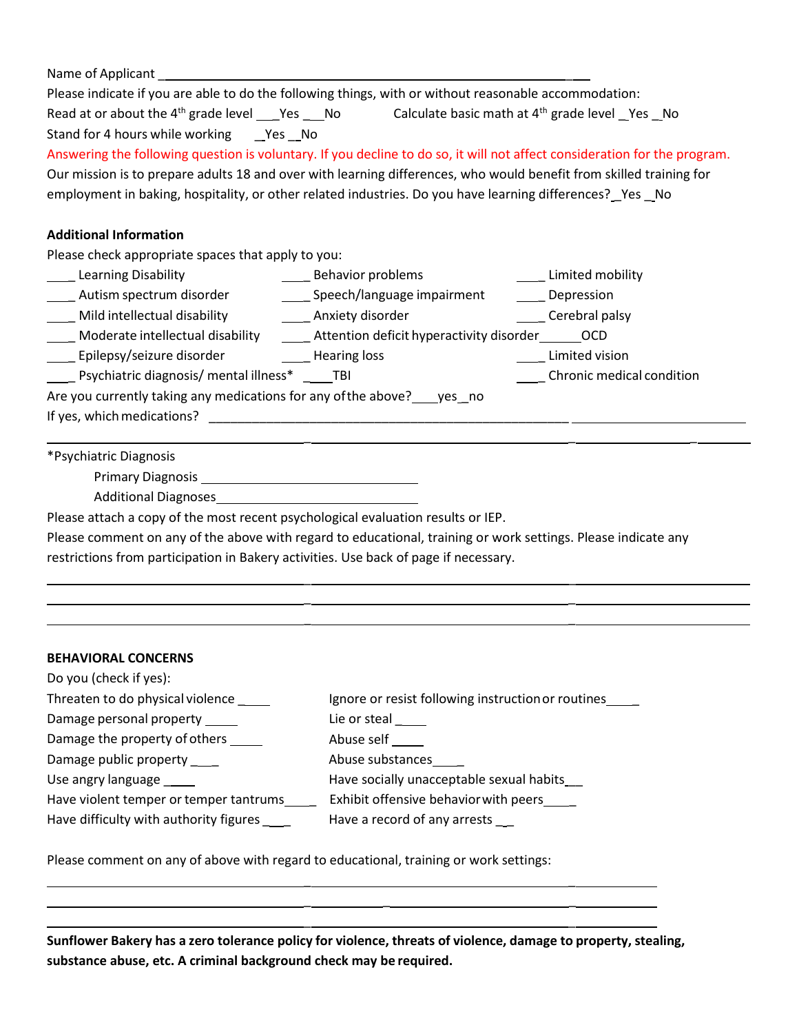| Please indicate if you are able to do the following things, with or without reasonable accommodation:                      |  |  |  |  |  |  |  |
|----------------------------------------------------------------------------------------------------------------------------|--|--|--|--|--|--|--|
| Read at or about the 4 <sup>th</sup> grade level ___Yes ___No Calculate basic math at 4 <sup>th</sup> grade level _Yes _No |  |  |  |  |  |  |  |
| Stand for 4 hours while working ___ Yes __ No                                                                              |  |  |  |  |  |  |  |
| Answering the following question is voluntary. If you decline to do so, it will not affect consideration for the program.  |  |  |  |  |  |  |  |
| Our mission is to prepare adults 18 and over with learning differences, who would benefit from skilled training for        |  |  |  |  |  |  |  |
| employment in baking, hospitality, or other related industries. Do you have learning differences? Yes No                   |  |  |  |  |  |  |  |
| <b>Additional Information</b>                                                                                              |  |  |  |  |  |  |  |
| Please check appropriate spaces that apply to you:                                                                         |  |  |  |  |  |  |  |
| Learning Disability<br><b>Example 1 Behavior problems</b><br>Limited mobility                                              |  |  |  |  |  |  |  |
| Lacken Multism spectrum disorder and managery Speech/language impairment and Depression                                    |  |  |  |  |  |  |  |
| <b>Example 2</b> Cerebral palsy                                                                                            |  |  |  |  |  |  |  |
| Moderate intellectual disability _______ Attention deficit hyperactivity disorder_______OCD                                |  |  |  |  |  |  |  |
| _____ Epilepsy/seizure disorder __________ Hearing loss<br>____ Limited vision                                             |  |  |  |  |  |  |  |
| ____ Psychiatric diagnosis/ mental illness* ____TBI<br>_____ Chronic medical condition                                     |  |  |  |  |  |  |  |
| Are you currently taking any medications for any of the above? yes no                                                      |  |  |  |  |  |  |  |
|                                                                                                                            |  |  |  |  |  |  |  |
| *Psychiatric Diagnosis                                                                                                     |  |  |  |  |  |  |  |
|                                                                                                                            |  |  |  |  |  |  |  |
| Additional Diagnoses<br><u>1988 - Cambridge Additional Piagnoses</u>                                                       |  |  |  |  |  |  |  |
| Please attach a copy of the most recent psychological evaluation results or IEP.                                           |  |  |  |  |  |  |  |

Please comment on any of the above with regard to educational, training or work settings. Please indicate any restrictions from participation in Bakery activities. Use back of page if necessary.

> \_ \_ \_ \_ \_ \_

> \_ \_ \_ \_ \_ \_ \_

#### **BEHAVIORAL CONCERNS**

| Do you (check if yes):                 |                                                    |
|----------------------------------------|----------------------------------------------------|
| Threaten to do physical violence __    | Ignore or resist following instruction or routines |
| Damage personal property               | Lie or steal                                       |
| Damage the property of others          | Abuse self                                         |
| Damage public property                 | Abuse substances                                   |
| Use angry language _____               | Have socially unacceptable sexual habits           |
| Have violent temper or temper tantrums | Exhibit offensive behavior with peers              |
| Have difficulty with authority figures | Have a record of any arrests                       |

Please comment on any of above with regard to educational, training or work settings:

**Sunflower Bakery has a zero tolerance policy for violence, threats of violence, damage to property, stealing, substance abuse, etc. A criminal background check may be required.**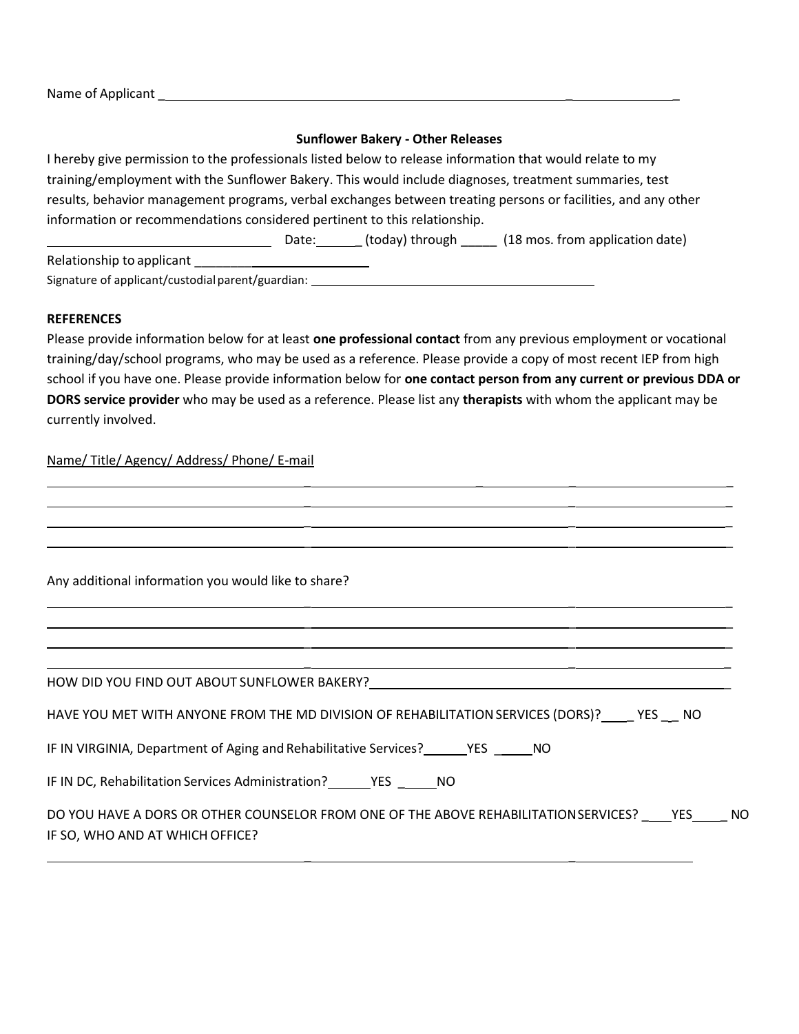Name of Applicant \_ \_ \_

### **Sunflower Bakery - Other Releases**

I hereby give permission to the professionals listed below to release information that would relate to my training/employment with the Sunflower Bakery. This would include diagnoses, treatment summaries, test results, behavior management programs, verbal exchanges between treating persons or facilities, and any other information or recommendations considered pertinent to this relationship.

Date: \_ (today) through \_\_\_\_\_ (18 mos. from application date) Relationship to applicant Signature of applicant/custodialparent/guardian:

### **REFERENCES**

Please provide information below for at least **one professional contact** from any previous employment or vocational training/day/school programs, who may be used as a reference. Please provide a copy of most recent IEP from high school if you have one. Please provide information below for **one contact person from any current or previous DDA or DORS service provider** who may be used as a reference. Please list any **therapists** with whom the applicant may be currently involved.

\_ \_ \_ \_

## Name/ Title/ Agency/ Address/ Phone/ E-mail

| Any additional information you would like to share?                                                                            |
|--------------------------------------------------------------------------------------------------------------------------------|
|                                                                                                                                |
| HOW DID YOU FIND OUT ABOUT SUNFLOWER BAKERY?                                                                                   |
| HAVE YOU MET WITH ANYONE FROM THE MD DIVISION OF REHABILITATION SERVICES (DORS)? YES NO                                        |
| IF IN VIRGINIA, Department of Aging and Rehabilitative Services? YES NO                                                        |
|                                                                                                                                |
| DO YOU HAVE A DORS OR OTHER COUNSELOR FROM ONE OF THE ABOVE REHABILITATION SERVICES? YES NO<br>IF SO, WHO AND AT WHICH OFFICE? |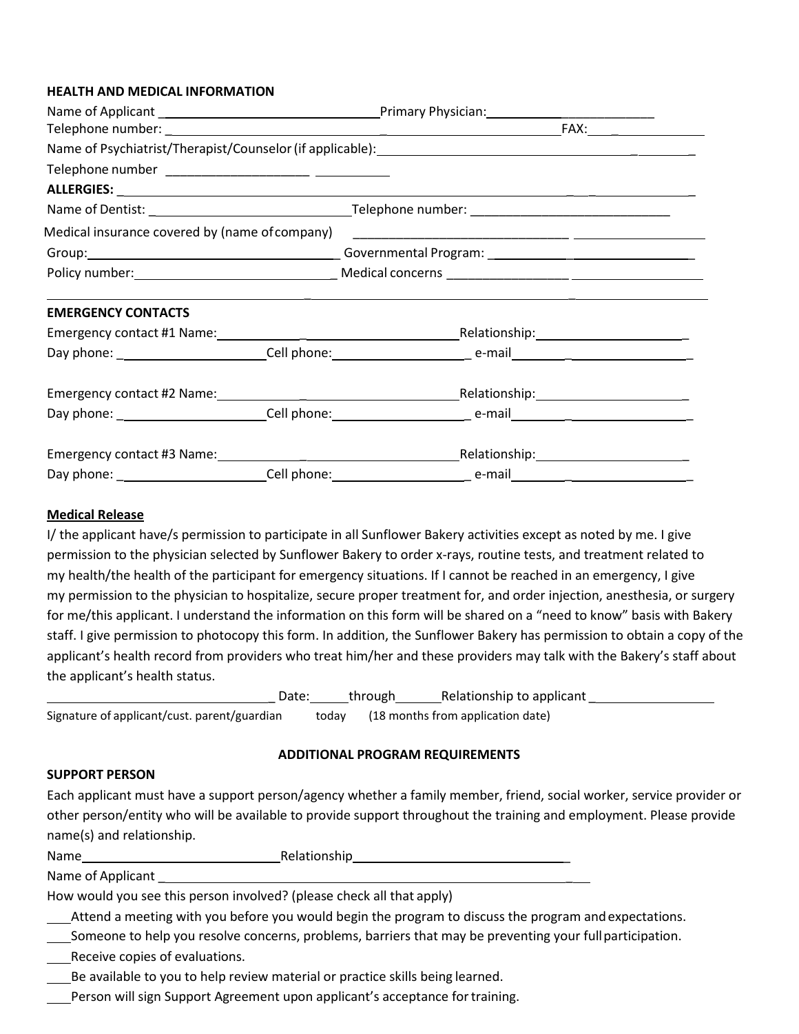#### **HEALTH AND MEDICAL INFORMATION**

| Telephone number ______________________ __________ |  |                                                                                   |  |  |
|----------------------------------------------------|--|-----------------------------------------------------------------------------------|--|--|
|                                                    |  |                                                                                   |  |  |
|                                                    |  |                                                                                   |  |  |
|                                                    |  |                                                                                   |  |  |
|                                                    |  |                                                                                   |  |  |
|                                                    |  |                                                                                   |  |  |
| <b>EMERGENCY CONTACTS</b>                          |  | ,我们也不会有什么。""我们不会有什么?""我们不会有什么?""我们不会有什么?""我们不会有什么?""我们不会有什么?""我们不会有什么?""我们不会有什么?" |  |  |
|                                                    |  |                                                                                   |  |  |
|                                                    |  |                                                                                   |  |  |
|                                                    |  |                                                                                   |  |  |
|                                                    |  |                                                                                   |  |  |
|                                                    |  |                                                                                   |  |  |
|                                                    |  |                                                                                   |  |  |

#### **Medical Release**

I/ the applicant have/s permission to participate in all Sunflower Bakery activities except as noted by me. I give permission to the physician selected by Sunflower Bakery to order x-rays, routine tests, and treatment related to my health/the health of the participant for emergency situations. If I cannot be reached in an emergency, I give my permission to the physician to hospitalize, secure proper treatment for, and order injection, anesthesia, or surgery for me/this applicant. I understand the information on this form will be shared on a "need to know" basis with Bakery staff. I give permission to photocopy this form. In addition, the Sunflower Bakery has permission to obtain a copy of the applicant's health record from providers who treat him/her and these providers may talk with the Bakery's staff about the applicant's health status.

|                                              | Date: | through | Relationship to applicant               |  |
|----------------------------------------------|-------|---------|-----------------------------------------|--|
| Signature of applicant/cust. parent/guardian |       |         | today (18 months from application date) |  |

#### **ADDITIONAL PROGRAM REQUIREMENTS**

#### **SUPPORT PERSON**

Each applicant must have a support person/agency whether a family member, friend, social worker, service provider or other person/entity who will be available to provide support throughout the training and employment. Please provide name(s) and relationship.

Name Relationship

Name of Applicant

How would you see this person involved? (please check all that apply)

Attend a meeting with you before you would begin the program to discuss the program and expectations.

Someone to help you resolve concerns, problems, barriers that may be preventing your fullparticipation.

Receive copies of evaluations.

Be available to you to help review material or practice skills being learned.

Person will sign Support Agreement upon applicant's acceptance for training.